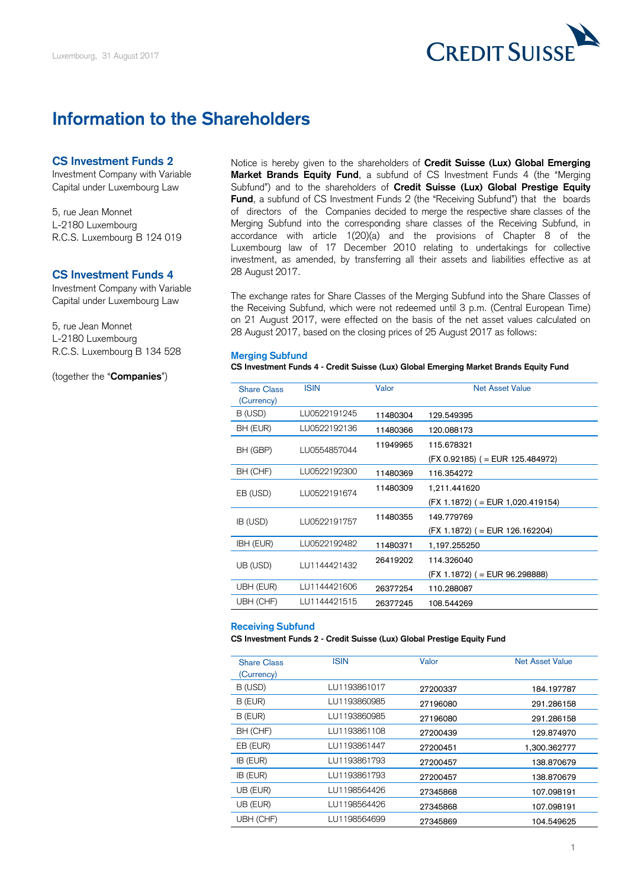

# **Information to the Shareholders**

## **CS Investment Funds 2**

Investment Company with Variable Capital under Luxembourg Law

5, rue Jean Monnet L-2180 Luxembourg R.C.S. Luxembourg B 124 019

### **CS Investment Funds 4**

Investment Company with Variable Capital under Luxembourg Law

5, rue Jean Monnet L-2180 Luxembourg R.C.S. Luxembourg B 134 528

(together the "**Companies**")

Market Brands Equity Fund, a subfund of CS Investment Funds 4 (the "Merging Subfund") and to the shareholders of **Credit Suisse (Lux) Global Prestige Equity Fund**, a subfund of CS Investment Funds 2 (the "Receiving Subfund") that the boards Notice is hereby given to the shareholders of **Credit Suisse (Lux) Global Emerging**  of directors of the Companies decided to merge the respective share classes of the Merging Subfund into the corresponding share classes of the Receiving Subfund, in accordance with article 1(20)(a) and the provisions of Chapter 8 of the Luxembourg law of 17 December 2010 relating to undertakings for collective investment, as amended, by transferring all their assets and liabilities effective as at 28 August 2017.

 The exchange rates for Share Classes of the Merging Subfund into the Share Classes of the Receiving Subfund, which were not redeemed until 3 p.m. (Central European Time) on 21 August 2017, were effected on the basis of the net asset values calculated on 28 August 2017, based on the closing prices of 25 August 2017 as follows:

#### **Merging Subfund**

 **CS Investment Funds 4 - Credit Suisse (Lux) Global Emerging Market Brands Equity Fund** 

| <b>Share Class</b> | <b>ISIN</b>  | Valor    | Net Asset Value                     |  |
|--------------------|--------------|----------|-------------------------------------|--|
| (Currency)         |              |          |                                     |  |
|                    |              |          |                                     |  |
| B (USD)            | LU0522191245 | 11480304 | 129.549395                          |  |
| BH (EUR)           | LU0522192136 | 11480366 | 120.088173                          |  |
| BH (GBP)           | LU0554857044 | 11949965 | 115.678321                          |  |
|                    |              |          |                                     |  |
|                    |              |          | (FX 0.92185) ( = EUR 125.484972)    |  |
| BH (CHF)           | LU0522192300 | 11480369 | 116.354272                          |  |
| EB (USD)           | LU0522191674 | 11480309 | 1,211.441620                        |  |
|                    |              |          |                                     |  |
|                    |              |          | $(FX 1.1872)$ ( = EUR 1,020.419154) |  |
| IB (USD)           | LU0522191757 | 11480355 | 149.779769                          |  |
|                    |              |          | $(FX 1.1872)$ ( = EUR 126.162204)   |  |
| IBH (EUR)          | LU0522192482 | 11480371 | 1,197.255250                        |  |
|                    |              |          |                                     |  |
| UB (USD)           | LU1144421432 | 26419202 | 114.326040                          |  |
|                    |              |          | $(FX 1.1872)$ ( = EUR 96.298888)    |  |
| UBH (EUR)          | LU1144421606 | 26377254 | 110.288087                          |  |
| UBH (CHF)          | LU1144421515 | 26377245 | 108.544269                          |  |
|                    |              |          |                                     |  |

#### **Receiving Subfund**

 **CS Investment Funds 2 - Credit Suisse (Lux) Global Prestige Equity Fund** 

| <b>Share Class</b> | <b>ISIN</b>  | Valor    | <b>Net Asset Value</b> |
|--------------------|--------------|----------|------------------------|
| (Currency)         |              |          |                        |
| B (USD)            | LU1193861017 | 27200337 | 184.197787             |
| B (EUR)            | LU1193860985 | 27196080 | 291.286158             |
| B (EUR)            | LU1193860985 | 27196080 | 291.286158             |
| BH (CHF)           | LU1193861108 | 27200439 | 129.874970             |
| EB (EUR)           | LU1193861447 | 27200451 | 1,300.362777           |
| IB (EUR)           | LU1193861793 | 27200457 | 138,870679             |
| IB (EUR)           | LU1193861793 | 27200457 | 138.870679             |
| UB (EUR)           | LU1198564426 | 27345868 | 107.098191             |
| UB (EUR)           | LU1198564426 | 27345868 | 107.098191             |
| UBH (CHF)          | LU1198564699 | 27345869 | 104.549625             |